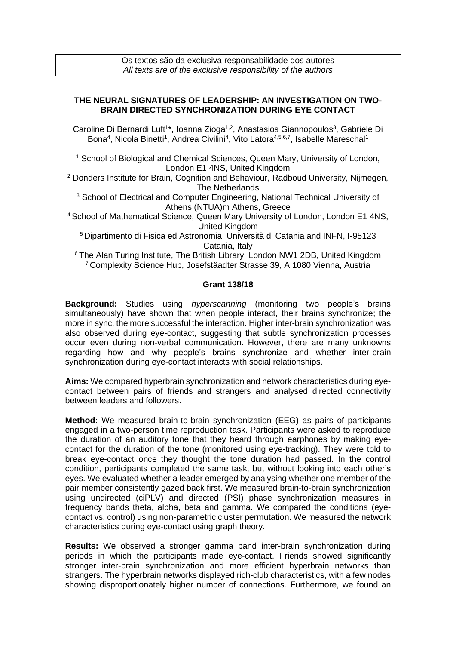## **THE NEURAL SIGNATURES OF LEADERSHIP: AN INVESTIGATION ON TWO-BRAIN DIRECTED SYNCHRONIZATION DURING EYE CONTACT**

Caroline Di Bernardi Luft<sup>1\*</sup>, Ioanna Zioga<sup>1,2</sup>, Anastasios Giannopoulos<sup>3</sup>, Gabriele Di Bona<sup>4</sup>, Nicola Binetti<sup>1</sup>, Andrea Civilini<sup>4</sup>, Vito Latora<sup>4,5,6,7</sup>, Isabelle Mareschal<sup>1</sup>

<sup>1</sup> School of Biological and Chemical Sciences, Queen Mary, University of London, London E1 4NS, United Kingdom

<sup>2</sup> Donders Institute for Brain, Cognition and Behaviour, Radboud University, Nijmegen, The Netherlands

<sup>3</sup> School of Electrical and Computer Engineering, National Technical University of Athens (NTUA)m Athens, Greece

<sup>4</sup> School of Mathematical Science, Queen Mary University of London, London E1 4NS, United Kingdom

<sup>5</sup>Dipartimento di Fisica ed Astronomia, Università di Catania and INFN, I-95123 Catania, Italy

<sup>6</sup> The Alan Turing Institute, The British Library, London NW1 2DB, United Kingdom <sup>7</sup>Complexity Science Hub, Josefstäadter Strasse 39, A 1080 Vienna, Austria

## **Grant 138/18**

**Background:** Studies using *hyperscanning* (monitoring two people's brains simultaneously) have shown that when people interact, their brains synchronize; the more in sync, the more successful the interaction. Higher inter-brain synchronization was also observed during eye-contact, suggesting that subtle synchronization processes occur even during non-verbal communication. However, there are many unknowns regarding how and why people's brains synchronize and whether inter-brain synchronization during eye-contact interacts with social relationships.

**Aims:** We compared hyperbrain synchronization and network characteristics during eyecontact between pairs of friends and strangers and analysed directed connectivity between leaders and followers.

**Method:** We measured brain-to-brain synchronization (EEG) as pairs of participants engaged in a two-person time reproduction task. Participants were asked to reproduce the duration of an auditory tone that they heard through earphones by making eyecontact for the duration of the tone (monitored using eye-tracking). They were told to break eye-contact once they thought the tone duration had passed. In the control condition, participants completed the same task, but without looking into each other's eyes. We evaluated whether a leader emerged by analysing whether one member of the pair member consistently gazed back first. We measured brain-to-brain synchronization using undirected (ciPLV) and directed (PSI) phase synchronization measures in frequency bands theta, alpha, beta and gamma. We compared the conditions (eyecontact vs. control) using non-parametric cluster permutation. We measured the network characteristics during eye-contact using graph theory.

**Results:** We observed a stronger gamma band inter-brain synchronization during periods in which the participants made eye-contact. Friends showed significantly stronger inter-brain synchronization and more efficient hyperbrain networks than strangers. The hyperbrain networks displayed rich-club characteristics, with a few nodes showing disproportionately higher number of connections. Furthermore, we found an